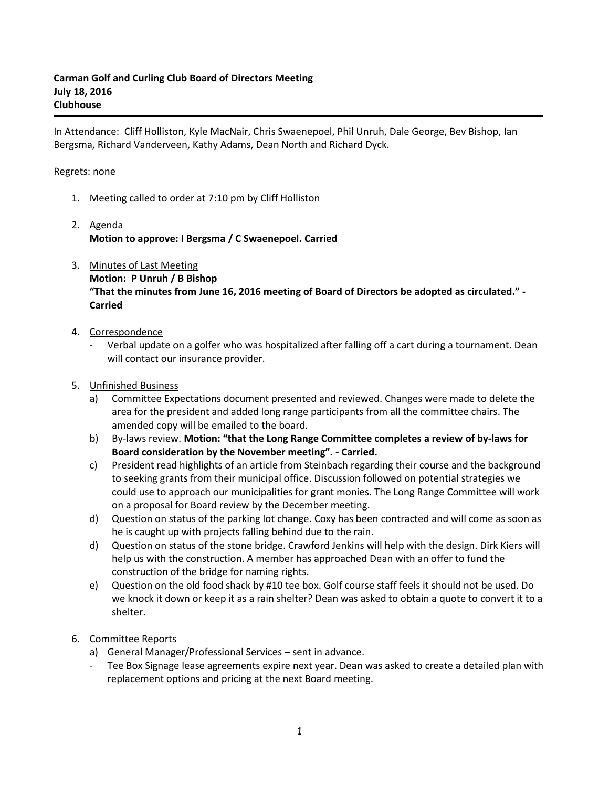In Attendance: Cliff Holliston, Kyle MacNair, Chris Swaenepoel, Phil Unruh, Dale George, Bev Bishop, Ian Bergsma, Richard Vanderveen, Kathy Adams, Dean North and Richard Dyck.

## Regrets: none

- 1. Meeting called to order at 7:10 pm by Cliff Holliston
- 2. Agenda **Motion to approve: I Bergsma / C Swaenepoel. Carried**
- 3. Minutes of Last Meeting **Motion: P Unruh / B Bishop "That the minutes from June 16, 2016 meeting of Board of Directors be adopted as circulated." - Carried**
- 4. Correspondence
	- Verbal update on a golfer who was hospitalized after falling off a cart during a tournament. Dean will contact our insurance provider.
- 5. Unfinished Business
	- a) Committee Expectations document presented and reviewed. Changes were made to delete the area for the president and added long range participants from all the committee chairs. The amended copy will be emailed to the board.
	- b) By-laws review. **Motion: "that the Long Range Committee completes a review of by-laws for Board consideration by the November meeting". - Carried.**
	- c) President read highlights of an article from Steinbach regarding their course and the background to seeking grants from their municipal office. Discussion followed on potential strategies we could use to approach our municipalities for grant monies. The Long Range Committee will work on a proposal for Board review by the December meeting.
	- d) Question on status of the parking lot change. Coxy has been contracted and will come as soon as he is caught up with projects falling behind due to the rain.
	- d) Question on status of the stone bridge. Crawford Jenkins will help with the design. Dirk Kiers will help us with the construction. A member has approached Dean with an offer to fund the construction of the bridge for naming rights.
	- e) Question on the old food shack by #10 tee box. Golf course staff feels it should not be used. Do we knock it down or keep it as a rain shelter? Dean was asked to obtain a quote to convert it to a shelter.
- 6. Committee Reports
	- a) General Manager/Professional Services sent in advance.
		- Tee Box Signage lease agreements expire next year. Dean was asked to create a detailed plan with replacement options and pricing at the next Board meeting.